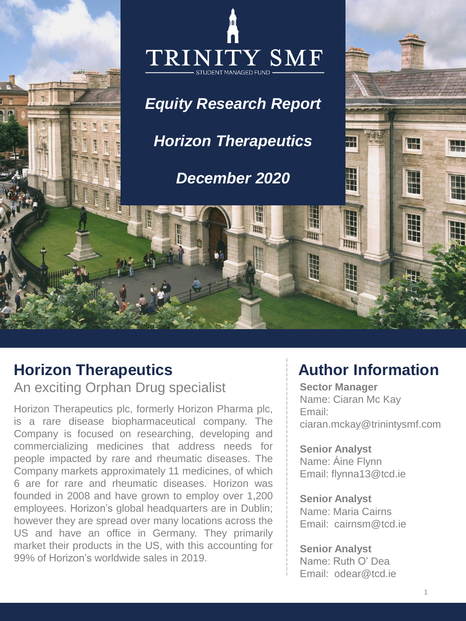

# **Horizon Therapeutics**

An exciting Orphan Drug specialist

Horizon Therapeutics plc, formerly Horizon Pharma plc, is a rare disease biopharmaceutical company. The Company is focused on researching, developing and commercializing medicines that address needs for people impacted by rare and rheumatic diseases. The Company markets approximately 11 medicines, of which 6 are for rare and rheumatic diseases. Horizon was founded in 2008 and have grown to employ over 1,200 employees. Horizon's global headquarters are in Dublin; however they are spread over many locations across the US and have an office in Germany. They primarily market their products in the US, with this accounting for 99% of Horizon's worldwide sales in 2019.

# **Author Information**

**Sector Manager** Name: Ciaran Mc Kay Email: ciaran.mckay@trinintysmf.com

**Senior Analyst** Name: Áine Flynn Email: flynna13@tcd.ie

**Senior Analyst**  Name: Maria Cairns Email: cairnsm@tcd.ie

**Senior Analyst** Name: Ruth O' Dea Email: odear@tcd.ie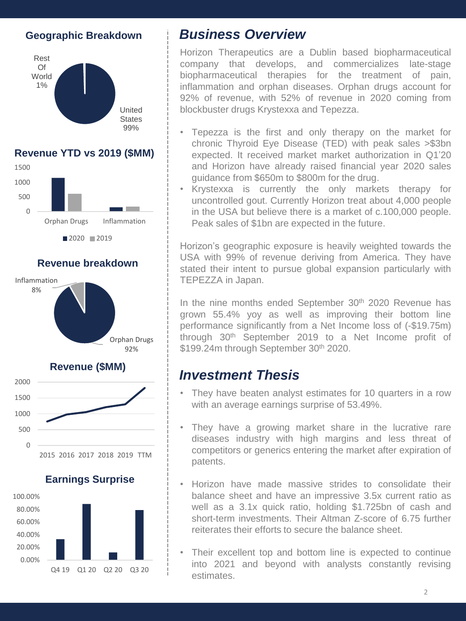#### **Geographic Breakdown**



#### **Revenue YTD vs 2019 (\$MM)**



**Revenue breakdown**





## *Business Overview*

Horizon Therapeutics are a Dublin based biopharmaceutical company that develops, and commercializes late-stage biopharmaceutical therapies for the treatment of pain, inflammation and orphan diseases. Orphan drugs account for 92% of revenue, with 52% of revenue in 2020 coming from blockbuster drugs Krystexxa and Tepezza.

- Tepezza is the first and only therapy on the market for chronic Thyroid Eye Disease (TED) with peak sales >\$3bn expected. It received market market authorization in Q1'20 and Horizon have already raised financial year 2020 sales guidance from \$650m to \$800m for the drug.
- Krystexxa is currently the only markets therapy for uncontrolled gout. Currently Horizon treat about 4,000 people in the USA but believe there is a market of c.100,000 people. Peak sales of \$1bn are expected in the future.

Horizon's geographic exposure is heavily weighted towards the USA with 99% of revenue deriving from America. They have stated their intent to pursue global expansion particularly with TEPEZZA in Japan.

In the nine months ended September 30<sup>th</sup> 2020 Revenue has grown 55.4% yoy as well as improving their bottom line performance significantly from a Net Income loss of (-\$19.75m) through 30th September 2019 to a Net Income profit of \$199.24m through September 30<sup>th</sup> 2020.

## *Investment Thesis*

- They have beaten analyst estimates for 10 quarters in a row with an average earnings surprise of 53.49%.
- They have a growing market share in the lucrative rare diseases industry with high margins and less threat of competitors or generics entering the market after expiration of patents.
- Horizon have made massive strides to consolidate their balance sheet and have an impressive 3.5x current ratio as well as a 3.1x quick ratio, holding \$1.725bn of cash and short-term investments. Their Altman Z-score of 6.75 further reiterates their efforts to secure the balance sheet.
- Their excellent top and bottom line is expected to continue into 2021 and beyond with analysts constantly revising estimates.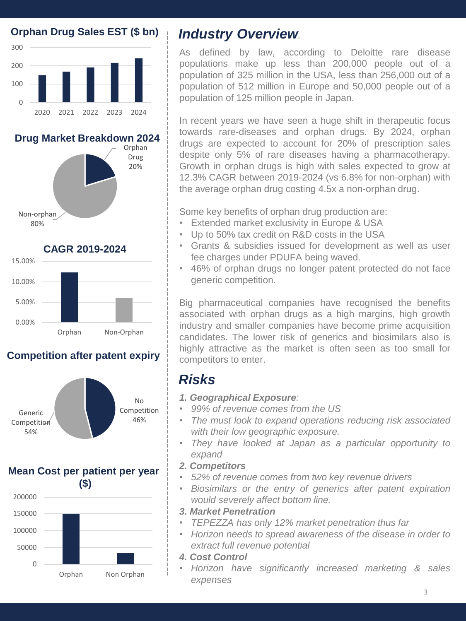

Orphan Drug 20%

No Competition 46%

In recent years we have seen a huge shift in therapeutic focus towards rare-diseases and orphan drugs. By 2024, orphan drugs are expected to account for 20% of prescription sales despite only 5% of rare diseases having a pharmacotherapy. Growth in orphan drugs is high with sales expected to grow at 12.3% CAGR between 2019-2024 (vs 6.8% for non-orphan) with the average orphan drug costing 4.5x a non-orphan drug.

As defined by law, according to Deloitte rare disease populations make up less than 200,000 people out of a population of 325 million in the USA, less than 256,000 out of a population of 512 million in Europe and 50,000 people out of a

Some key benefits of orphan drug production are:

population of 125 million people in Japan.

- Extended market exclusivity in Europe & USA
- Up to 50% tax credit on R&D costs in the USA
- Grants & subsidies issued for development as well as user fee charges under PDUFA being waved.
- 46% of orphan drugs no longer patent protected do not face generic competition.

Big pharmaceutical companies have recognised the benefits associated with orphan drugs as a high margins, high growth industry and smaller companies have become prime acquisition candidates. The lower risk of generics and biosimilars also is highly attractive as the market is often seen as too small for competitors to enter.

# *Risks*

- *1. Geographical Exposure:*
- *99% of revenue comes from the US*
- *The must look to expand operations reducing risk associated with their low geographic exposure.*
- *They have looked at Japan as a particular opportunity to expand*
- *2. Competitors*
- *52% of revenue comes from two key revenue drivers*
- *Biosimilars or the entry of generics after patent expiration would severely affect bottom line.*
- *3. Market Penetration*
- *TEPEZZA has only 12% market penetration thus far*
- *Horizon needs to spread awareness of the disease in order to extract full revenue potential*
- *4. Cost Control*
- *Horizon have significantly increased marketing & sales expenses*



Generic **Competition** 54%



## **Competition after patent expiry**







**Drug Market Breakdown 2024**

**Orphan Drug Sales EST (\$ bn)**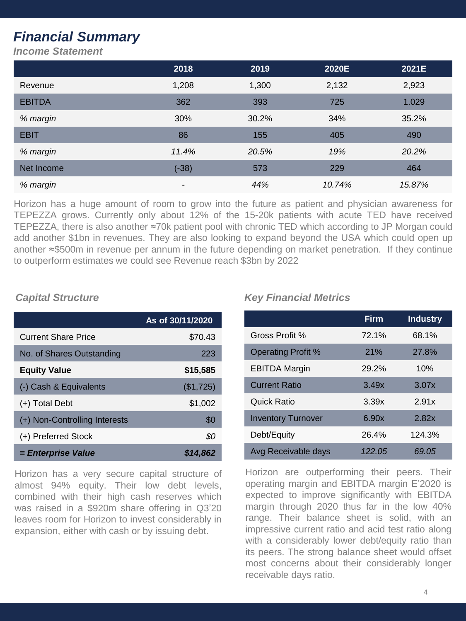# *Financial Summary*

*Income Statement*

|               | 2018    | 2019  | 2020E  | 2021E  |
|---------------|---------|-------|--------|--------|
| Revenue       | 1,208   | 1,300 | 2,132  | 2,923  |
| <b>EBITDA</b> | 362     | 393   | 725    | 1.029  |
| % margin      | 30%     | 30.2% | 34%    | 35.2%  |
| <b>EBIT</b>   | 86      | 155   | 405    | 490    |
| % margin      | 11.4%   | 20.5% | 19%    | 20.2%  |
| Net Income    | $(-38)$ | 573   | 229    | 464    |
| % margin      | -       | 44%   | 10.74% | 15.87% |

Horizon has a huge amount of room to grow into the future as patient and physician awareness for TEPEZZA grows. Currently only about 12% of the 15-20k patients with acute TED have received TEPEZZA, there is also another ≈70k patient pool with chronic TED which according to JP Morgan could add another \$1bn in revenues. They are also looking to expand beyond the USA which could open up another ≈\$500m in revenue per annum in the future depending on market penetration. If they continue to outperform estimates we could see Revenue reach \$3bn by 2022

|                               | As of 30/11/2020 |
|-------------------------------|------------------|
| <b>Current Share Price</b>    | \$70.43          |
| No. of Shares Outstanding     | 223              |
| <b>Equity Value</b>           | \$15,585         |
| (-) Cash & Equivalents        | (\$1,725)        |
| (+) Total Debt                | \$1,002          |
| (+) Non-Controlling Interests | \$0              |
| (+) Preferred Stock           | \$0              |
| = Enterprise Value            | \$14,862         |

Horizon has a very secure capital structure of almost 94% equity. Their low debt levels, combined with their high cash reserves which was raised in a \$920m share offering in Q3'20 leaves room for Horizon to invest considerably in expansion, either with cash or by issuing debt.

#### *Capital Structure Key Financial Metrics*

|                           | <b>Firm</b> | <b>Industry</b> |
|---------------------------|-------------|-----------------|
| Gross Profit %            | 72.1%       | 68.1%           |
| <b>Operating Profit %</b> | 21%         | 27.8%           |
| <b>EBITDA Margin</b>      | 29.2%       | 10%             |
| <b>Current Ratio</b>      | 3.49x       | 3.07x           |
| Quick Ratio               | 3.39x       | 2.91x           |
| <b>Inventory Turnover</b> | 6.90x       | 2.82x           |
| Debt/Equity               | 26.4%       | 124.3%          |
| Avg Receivable days       | 122.05      | 69.05           |

Horizon are outperforming their peers. Their operating margin and EBITDA margin E'2020 is expected to improve significantly with EBITDA margin through 2020 thus far in the low 40% range. Their balance sheet is solid, with an impressive current ratio and acid test ratio along with a considerably lower debt/equity ratio than its peers. The strong balance sheet would offset most concerns about their considerably longer receivable days ratio.